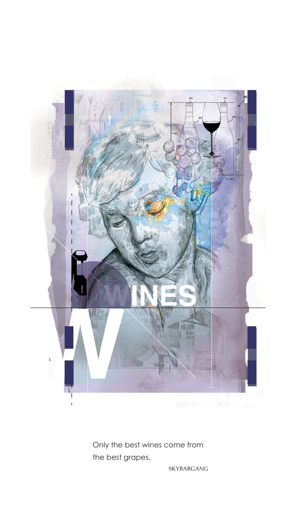

Only the best wines come from the best grapes.

SKYBARGANG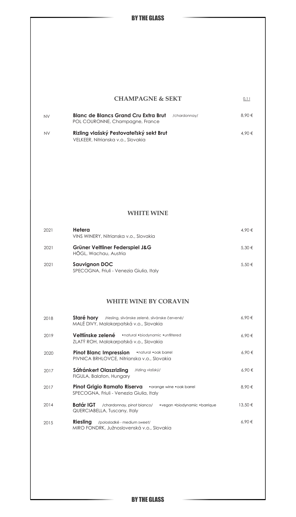BY THE GLASS

 $0,11$ 

#### **CHAMPAGNE & SEKT**

| <b>NV</b> | <b>Blanc de Blancs Grand Cru Extra Brut</b><br>POL COURONNE, Champagne, France | /chardonnav/ | 8.90€ |
|-----------|--------------------------------------------------------------------------------|--------------|-------|
| <b>NV</b> | Rizling vlašský Pestovateľský sekt Brut                                        |              | 4.90€ |

VELKEER, Nitrianska v.o., Slovakia

#### **WHITE WINE**

| 2021 | Hetera<br>VINS WINERY, Nitrianska v.o., Slovakia                 | 4.90 €     |
|------|------------------------------------------------------------------|------------|
| 2021 | Grüner Veltliner Federspiel J&G<br>HÖGL, Wachau, Austria         | 5.30€      |
| 2021 | <b>Sauvignon DOC</b><br>SPECOGNA, Friuli - Venezia Giulia, Italy | $5.50 \in$ |

### **WHITE WINE BY CORAVIN**

| 2018 | Staré hory /riesling, silvánske zelené, silvánske červené/<br>MALÉ DIVY, Malokarpatská v.o., Slovakia     | 6.90€   |
|------|-----------------------------------------------------------------------------------------------------------|---------|
| 2019 | Veltlínske zelené · natural · biodynamic · unfiltered<br>ZLATÝ ROH, Malokarpatská v.o., Slovakia          | 6.90€   |
| 2020 | <b>Pinot Blanc Impression</b> • natural • oak barrel<br>PIVNICA BRHLOVCE, Nitrianska v.o., Slovakia       | 6.90€   |
| 2017 | Sáfránkert Olaszrizling<br>/rizling vlašský/<br>FIGULA, Balaton, Hungary                                  | 6.90€   |
| 2017 | <b>Pinot Grigio Ramato Riserva</b> . orange wine . oak barrel<br>SPECOGNA, Friuli - Venezia Giulia, Italy | 8.90€   |
| 2014 | Batár IGT<br>/chardonnay, pinot bianco/ •vegan •biodynamic •barrique<br>QUERCIABELLA, Tuscany, Italy      | 13.50 € |
| 2015 | Riesling<br>/polosladké - medium sweet/<br>MIRO FONDRK, Južnoslovenská v.o., Slovakia                     | 6.90€   |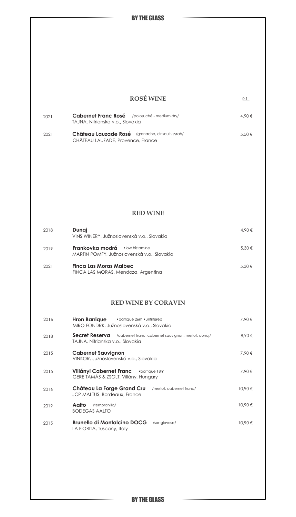$0,11$ 

| <b>ROSÉ WINE</b> |
|------------------|
|                  |

| 2021 | <b>Cabernet Franc Rosé</b> /polosuché - medium dry/ | $4.90 \in$ |  |
|------|-----------------------------------------------------|------------|--|
|      | TAJNA, Nitrianska v.o., Slovakia                    |            |  |
| 2021 | Château Lauzade Rosé /grenache, cinsault, syrah/    | $5.50 \in$ |  |
|      | CHÂTEAU LAUZADE, Provence, France                   |            |  |

#### **RED WINE**

| 2018 | Dunaj<br>VINS WINERY, Južnoslovenská v.o., Slovakia                                       | 4.90 €     |
|------|-------------------------------------------------------------------------------------------|------------|
| 2019 | Frankovka modrá<br>$\bullet$ low histamine<br>MARTIN POMFY, Južnoslovenská v.o., Slovakia | $5.30 \in$ |
| 2021 | Finca Las Moras Malbec<br>FINCA LAS MORAS, Mendoza, Argentina                             | $5.30 \in$ |

### **RED WINE BY CORAVIN**

| 2016 | <b>Hron Barrique</b><br>MIRO FONDRK, Južnoslovenská v.o., Slovakia | • barrique 26m • unfiltered |                                                     | 7.90€   |
|------|--------------------------------------------------------------------|-----------------------------|-----------------------------------------------------|---------|
| 2018 | Secret Reserva<br>TAJNA, Nitrianska v.o., Slovakia                 |                             | /cabernet franc, cabernet sauvignon, merlot, dunaj/ | 8.90€   |
| 2015 | <b>Cabernet Sauvignon</b><br>VINKOR, Južnoslovenská v.o., Slovakia |                             |                                                     | 7.90 €  |
| 2015 | Villányi Cabernet Franc<br>GERE TAMÁS & ZSOLT, Villány, Hungary    |                             | •barrique 18m                                       | 7.90 €  |
| 2016 | Château La Forge Grand Cru<br>JCP MALTUS, Bordeaux, France         |                             | /merlot, cabernet franc/                            | 10.90 € |
| 2019 | Aalto<br>/tempranillo/<br><b>BODEGAS AALTO</b>                     |                             |                                                     | 10.90 € |
| 2015 | <b>Brunello di Montalcino DOCG</b><br>LA FIORITA, Tuscany, Italy   |                             | /sangiovese/                                        | 10.90€  |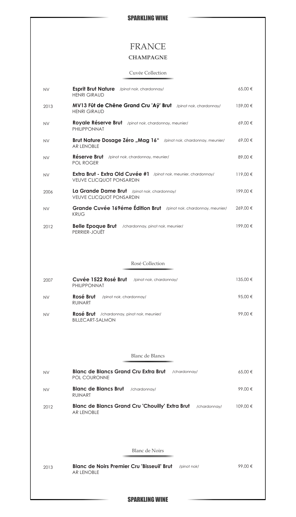# FRANCE

# **CHAMPAGNE**

### Cuvée Collection

| <b>NV</b> | <b>Esprit Brut Nature</b> /pinot noir, chardonnay/<br><b>HENRI GIRAUD</b>                            | 65,00 €  |
|-----------|------------------------------------------------------------------------------------------------------|----------|
| 2013      | MV13 Fût de Chêne Grand Cru 'Aÿ' Brut /pinot noir, chardonnay/<br><b>HENRI GIRAUD</b>                | 159,00 € |
| <b>NV</b> | Royale Réserve Brut /pinot noir, chardonnay, meunier/<br>PHILIPPONNAT                                | 69,00€   |
| NV.       | <b>Brut Nature Dosage Zéro "Mag 16"</b> /pinot noir, chardonnay, meunier/<br><b>AR LENOBLE</b>       | 69,00€   |
| NV        | Réserve Brut /pinot noir, chardonnay, meunier/<br>POL ROGER                                          | 89,00 €  |
| NV.       | Extra Brut - Extra Old Cuvée #1 /pinot noir, meunier, chardonnay/<br><b>VEUVE CLICQUOT PONSARDIN</b> | 119,00 € |
| 2006      | La Grande Dame Brut /pinot noir, chardonnay/<br><b>VEUVE CLICQUOT PONSARDIN</b>                      | 199,00 € |
| <b>NV</b> | Grande Cuvée 169éme Édition Brut /pinot noir, chardonnay, meunier/<br><b>KRUG</b>                    | 269,00€  |
| 2012      | <b>Belle Epoque Brut</b> /chardonnay, pinot noir, meunier/<br>PERRIER-JOUËT                          | 199,00€  |
|           |                                                                                                      |          |
|           | Rosé Collection                                                                                      |          |
| 2007      | Cuvée 1522 Rosé Brut<br>/pinot noir, chardonnay/<br>PHILIPPONNAT                                     | 135,00 € |
| NV.       | Rosé Brut<br>/pinot noir, chardonnay/<br><b>RUINART</b>                                              | 95,00 €  |
| <b>NV</b> | <b>Rosé Brut</b> / chardonnay, pinot noir, meunier/<br><b>BILLECART-SALMON</b>                       | 99,00€   |
|           |                                                                                                      |          |
|           | Blanc de Blancs                                                                                      |          |
| <b>NV</b> | <b>Blanc de Blancs Grand Cru Extra Brut</b><br>/chardonnay/                                          | 65,00 €  |
|           | POL COURONNE                                                                                         |          |
| NV        | Blanc de Blancs Brut<br>/chardonnay/<br><b>RUINART</b>                                               | 99,00€   |
| 2012      | <b>Blanc de Blancs Grand Cru 'Chouilly' Extra Brut</b><br>/chardonnay/<br><b>AR LENOBLE</b>          | 109,00 € |
|           |                                                                                                      |          |
|           | <b>Blanc</b> de Noirs                                                                                |          |
| 2013      | <b>Blanc de Noirs Premier Cru 'Bisseuil' Brut</b><br>/pinot noir/<br><b>AR LENOBLE</b>               | 99,00 €  |
|           |                                                                                                      |          |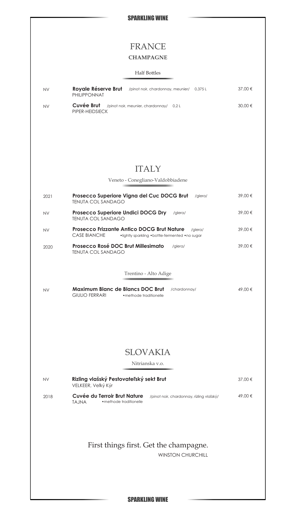# FRANCE

## **CHAMPAGNE**

#### Half Bottles

| <b>NV</b> | Royale Réserve Brut<br>PHILIPPONNAT | /pinot noir, chardonnay, meunier/ 0,375 L | 37.00 € |
|-----------|-------------------------------------|-------------------------------------------|---------|
| <b>NV</b> | Cuvée Brut<br>PIPER-HEIDSIECK       | /pinot noir, meunier, chardonnay/ 0,2 L   | 30.00 € |

### ITALY

Veneto - Conegliano-Valdobbiadene 2021 **Prosecco Superiore Vigna del Cuc DOCG Brut** /glera/ 39,00 € TENUTA COL SANDAGO **Prosecco Superiore Undici DOCG Dry** /glera/ 39,00 € TENUTA COL SANDAGO **Rival Prosecco Frizzante Antico DOCG Brut Nature** /glera/ 39,00 € CASE BIANCHE •lightly sparkling •bottle-fermented •no sugar 2020 **Prosecco Rosé DOC Brut Millesimato** /glera/ **1990 € 39,00**€ TENUTA COL SANDAGO

#### Trentino - Alto Adige

| <b>NV</b> | Maximum Blanc de Blancs DOC Brut |                         | /chardonnav/ | 49.00 € |
|-----------|----------------------------------|-------------------------|--------------|---------|
|           | GIULIO FERRARI                   | • methode traditionelle |              |         |

### SLOVAKIA

Nitrianska v.o.

| <b>NV</b> | Rizling vlašský Pestovateľský sekt Brut<br>VELKEER, Veľký Kýr     |                                           |         |
|-----------|-------------------------------------------------------------------|-------------------------------------------|---------|
| 2018      | Cuvée du Terroir Brut Nature<br>• methode traditionelle<br>TA.INA | /pinot noir, chardonnay, rízling vlašský/ | 49.00 € |

### First things first. Get the champagne.

WINSTON CHURCHILL

SPARKLING WINE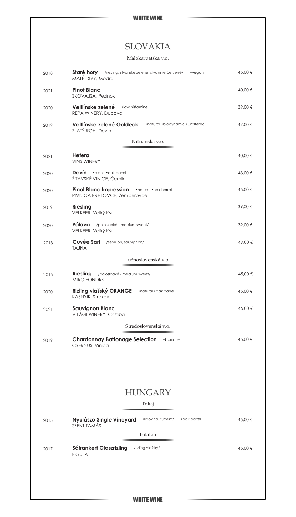# SLOVAKIA

#### Malokarpatská v.o.

| 2018 | Staré hory /riesling, silvánske zelené, silvánske červené/<br>•vegan<br>MALÉ DIVY, Modra | 45,00 € |
|------|------------------------------------------------------------------------------------------|---------|
| 2021 | <b>Pinot Blanc</b><br>SKOVAJSA, Pezinok                                                  | 40,00 € |
| 2020 | .low histamine<br>Veltlínske zelené<br>REPA WINERY, Dubová                               | 39,00 € |
| 2019 | Veltlínske zelené Goldeck<br>•natural •biodynamic •unfiltered<br>ZLATÝ ROH, Devín        | 47,00 € |
|      | Nitrianska v.o.                                                                          |         |
|      |                                                                                          |         |
| 2021 | Hetera<br><b>VINS WINERY</b>                                                             | 40,00 € |
| 2020 | Devín · sur lie · oak barrel<br>ŽITAVSKÉ VINICE, Černík                                  | 43,00 € |
| 2020 | Pinot Blanc Impression . Inatural . oak barrel<br>PIVNICA BRHLOVCE, Žemberovce           | 45,00 € |
| 2019 | Riesling<br>VELKEER, Veľký Kýr                                                           | 39,00 € |
| 2020 | Pálava /polosladké - medium sweet/<br>VELKEER, Veľký Kýr                                 | 39,00 € |
| 2018 | <b>Cuvée Sari</b> /semillon, sauvignon/<br><b>TAJNA</b>                                  | 49,00 € |
|      | Južnoslovenská v.o.                                                                      |         |
| 2015 | Riesling<br>/polosladké - medium sweet/<br>MIRO FONDRK                                   | 45,00 € |
| 2020 | Rizling vlašský ORANGE<br>•natural •oak barrel<br>KASNYIK, Strekov                       | 45,00 € |
| 2021 | <b>Sauvignon Blanc</b><br>VILÁGI WINERY, Chľaba                                          | 45,00 € |
|      | Stredoslovenská v.o.                                                                     |         |
| 2019 | <b>Chardonnay Battonage Selection</b><br>• barrique<br>CSERNUS, Vinica                   | 45,00 € |
|      |                                                                                          |         |
|      | <b>HUNGARY</b>                                                                           |         |
|      | Tokaj                                                                                    |         |
|      |                                                                                          |         |
| 2015 | Nyulászo Single Vineyard<br>/lipovina, furmint/<br>• oak barrel<br>SZENT TAMÁS           | 45,00 € |
|      | Balaton                                                                                  |         |
| 2017 | Sáfrankert Olaszrizling<br>/rizling vlašský/<br><b>FIGULA</b>                            | 45,00 € |
|      |                                                                                          |         |
|      |                                                                                          |         |
|      |                                                                                          |         |
|      | <b>WHITE WINE</b>                                                                        |         |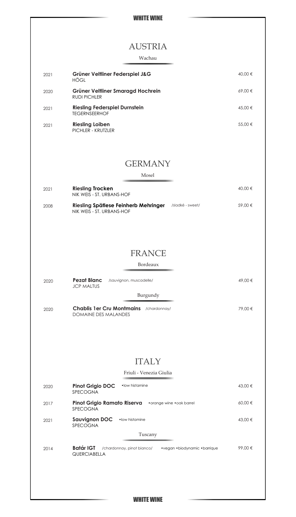| <b>AUSTRIA</b><br>Wachau<br>Grüner Veltliner Federspiel J&G<br>2021<br>HÖGL<br>Grüner Veltliner Smaragd Hochrein<br>2020<br><b>RUDI PICHLER</b><br><b>Riesling Federspiel Durnstein</b><br>2021<br><b>TEGERNSEERHOF</b><br><b>Riesling Loiben</b><br>2021<br>PICHLER - KRUTZLER<br><b>GERMANY</b><br>Mosel<br><b>Riesling Trocken</b><br>2021<br>NIK WEIS - ST. URBANS-HOF<br>Riesling Spätlese Feinherb Mehringer<br>/sladké - sweet/<br>2008<br>NIK WEIS - ST. URBANS-HOF<br><b>FRANCE</b><br>Bordeaux<br><b>Pezat Blanc</b><br>/sauvignon, muscadelle/<br>2020<br><b>JCP MALTUS</b><br>Burgundy<br><b>Chablis 1er Cru Montmains</b><br>/chardonnay/<br>2020<br><b>DOMAINE DES MALANDES</b><br><b>ITALY</b><br>Friuli - Venezia Giulia<br>· low histamine<br><b>Pinot Grigio DOC</b><br>2020<br>SPECOGNA<br>Pinot Grigio Ramato Riserva<br>• orange wine • oak barrel<br>2017<br>SPECOGNA<br><b>Sauvignon DOC</b><br>• low histamine<br>2021<br><b>SPECOGNA</b><br>Tuscany<br>Batár IGT<br>/chardonnay, pinot bianco/<br>•vegan •biodynamic •barrique<br>2014<br><b>QUERCIABELLA</b> | WHITE WINE |         |
|----------------------------------------------------------------------------------------------------------------------------------------------------------------------------------------------------------------------------------------------------------------------------------------------------------------------------------------------------------------------------------------------------------------------------------------------------------------------------------------------------------------------------------------------------------------------------------------------------------------------------------------------------------------------------------------------------------------------------------------------------------------------------------------------------------------------------------------------------------------------------------------------------------------------------------------------------------------------------------------------------------------------------------------------------------------------------------------|------------|---------|
|                                                                                                                                                                                                                                                                                                                                                                                                                                                                                                                                                                                                                                                                                                                                                                                                                                                                                                                                                                                                                                                                                        |            |         |
|                                                                                                                                                                                                                                                                                                                                                                                                                                                                                                                                                                                                                                                                                                                                                                                                                                                                                                                                                                                                                                                                                        |            |         |
|                                                                                                                                                                                                                                                                                                                                                                                                                                                                                                                                                                                                                                                                                                                                                                                                                                                                                                                                                                                                                                                                                        |            |         |
|                                                                                                                                                                                                                                                                                                                                                                                                                                                                                                                                                                                                                                                                                                                                                                                                                                                                                                                                                                                                                                                                                        |            | 40,00 € |
|                                                                                                                                                                                                                                                                                                                                                                                                                                                                                                                                                                                                                                                                                                                                                                                                                                                                                                                                                                                                                                                                                        |            | 69,00€  |
|                                                                                                                                                                                                                                                                                                                                                                                                                                                                                                                                                                                                                                                                                                                                                                                                                                                                                                                                                                                                                                                                                        |            | 45,00 € |
|                                                                                                                                                                                                                                                                                                                                                                                                                                                                                                                                                                                                                                                                                                                                                                                                                                                                                                                                                                                                                                                                                        |            | 55,00 € |
|                                                                                                                                                                                                                                                                                                                                                                                                                                                                                                                                                                                                                                                                                                                                                                                                                                                                                                                                                                                                                                                                                        |            |         |
|                                                                                                                                                                                                                                                                                                                                                                                                                                                                                                                                                                                                                                                                                                                                                                                                                                                                                                                                                                                                                                                                                        |            |         |
|                                                                                                                                                                                                                                                                                                                                                                                                                                                                                                                                                                                                                                                                                                                                                                                                                                                                                                                                                                                                                                                                                        |            | 40,00 € |
|                                                                                                                                                                                                                                                                                                                                                                                                                                                                                                                                                                                                                                                                                                                                                                                                                                                                                                                                                                                                                                                                                        |            | 59,00 € |
|                                                                                                                                                                                                                                                                                                                                                                                                                                                                                                                                                                                                                                                                                                                                                                                                                                                                                                                                                                                                                                                                                        |            |         |
|                                                                                                                                                                                                                                                                                                                                                                                                                                                                                                                                                                                                                                                                                                                                                                                                                                                                                                                                                                                                                                                                                        |            |         |
|                                                                                                                                                                                                                                                                                                                                                                                                                                                                                                                                                                                                                                                                                                                                                                                                                                                                                                                                                                                                                                                                                        |            |         |
|                                                                                                                                                                                                                                                                                                                                                                                                                                                                                                                                                                                                                                                                                                                                                                                                                                                                                                                                                                                                                                                                                        |            | 49,00 € |
|                                                                                                                                                                                                                                                                                                                                                                                                                                                                                                                                                                                                                                                                                                                                                                                                                                                                                                                                                                                                                                                                                        |            |         |
|                                                                                                                                                                                                                                                                                                                                                                                                                                                                                                                                                                                                                                                                                                                                                                                                                                                                                                                                                                                                                                                                                        |            | 79,00 € |
|                                                                                                                                                                                                                                                                                                                                                                                                                                                                                                                                                                                                                                                                                                                                                                                                                                                                                                                                                                                                                                                                                        |            |         |
|                                                                                                                                                                                                                                                                                                                                                                                                                                                                                                                                                                                                                                                                                                                                                                                                                                                                                                                                                                                                                                                                                        |            |         |
|                                                                                                                                                                                                                                                                                                                                                                                                                                                                                                                                                                                                                                                                                                                                                                                                                                                                                                                                                                                                                                                                                        |            | 43,00 € |
|                                                                                                                                                                                                                                                                                                                                                                                                                                                                                                                                                                                                                                                                                                                                                                                                                                                                                                                                                                                                                                                                                        |            | 60,00 € |
|                                                                                                                                                                                                                                                                                                                                                                                                                                                                                                                                                                                                                                                                                                                                                                                                                                                                                                                                                                                                                                                                                        |            | 43,00 € |
|                                                                                                                                                                                                                                                                                                                                                                                                                                                                                                                                                                                                                                                                                                                                                                                                                                                                                                                                                                                                                                                                                        |            |         |
|                                                                                                                                                                                                                                                                                                                                                                                                                                                                                                                                                                                                                                                                                                                                                                                                                                                                                                                                                                                                                                                                                        |            | 99,00€  |
|                                                                                                                                                                                                                                                                                                                                                                                                                                                                                                                                                                                                                                                                                                                                                                                                                                                                                                                                                                                                                                                                                        |            |         |

#### WHITE WINE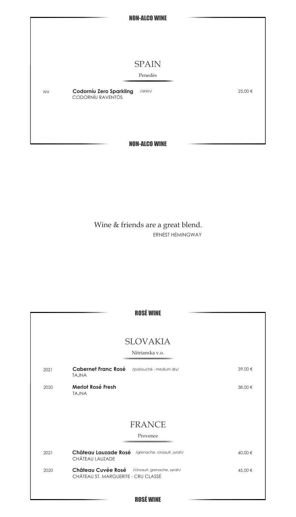

Wine & friends are a great blend. ERNEST HEMINGWAY

|      | <b>SLOVAKIA</b>                                                     |         |
|------|---------------------------------------------------------------------|---------|
|      | Nitrianska v.o.                                                     |         |
| 2021 | Cabernet Franc Rosé<br>/polosuché - medium dry/<br><b>TAJNA</b>     | 39,00 € |
| 2020 | Merlot Rosé Fresh<br><b>TAJNA</b>                                   | 38,00 € |
|      | <b>FRANCE</b>                                                       |         |
|      | Provence                                                            |         |
| 2021 | Château Lauzade Rosé /grenache, cinsault, syrah/<br>CHÂTEAU LAUZADE | 40,00 € |
|      | Château Cuvée Rosé / cinsault, grenache, syrah/                     | 45,00 € |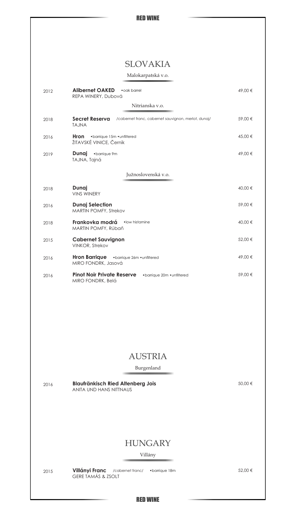# SLOVAKIA

#### Malokarpatská v.o.

| 2012 | <b>Alibernet OAKED</b><br>• oak barrel<br>REPA WINERY, Dubová                         | 49,00 € |
|------|---------------------------------------------------------------------------------------|---------|
|      | Nitrianska v.o.                                                                       |         |
| 2018 | Secret Reserva<br>/cabernet franc, cabernet sauvignon, merlot, dunaj/<br><b>TAJNA</b> | 59,00€  |
| 2016 | Hron •barrique 15m • unfiltered<br>ŽITAVSKÉ VINICE, Černík                            | 45,00 € |
| 2019 | <b>Dunai</b> •barrique 9m<br>TAJNA, Tajná                                             | 49,00 € |
|      | Južnoslovenská v.o.                                                                   |         |
| 2018 | Dunaj<br><b>VINS WINERY</b>                                                           | 40,00 € |
| 2016 | <b>Dunaj Selection</b><br>MARTIN POMFY, Strekov                                       | 59,00 € |
| 2018 | Frankovka modrá<br>.low histamine<br>MARTIN POMFY, Rúbaň                              | 40,00 € |
| 2015 | <b>Cabernet Sauvignon</b><br>VINKOR, Strekov                                          | 52,00 € |
| 2016 | Hron Barrique .barrique 26m .unfiltered<br>MIRO FONDRK, Jasová                        | 49,00 € |
| 2016 | <b>Pinot Noir Private Reserve</b><br>• barrique 20m • unfiltered<br>MIRO FONDRK, Belá | 59,00 € |
|      |                                                                                       |         |
|      |                                                                                       |         |
|      |                                                                                       |         |
|      |                                                                                       |         |
|      | <b>AUSTRIA</b>                                                                        |         |
|      | Burgenland                                                                            |         |
| 2016 | <b>Blaufränkisch Ried Altenberg Jois</b><br>ANITA UND HANS NITTNAUS                   | 50,00 € |
|      |                                                                                       |         |
|      |                                                                                       |         |
|      | <b>HUNGARY</b>                                                                        |         |
|      | Villány                                                                               |         |
| 2015 | Villányi Franc<br>/cabernet franc/<br>•barrique 18m<br>GERE TAMÁS & ZSOLT             | 52,00 € |

RED WINE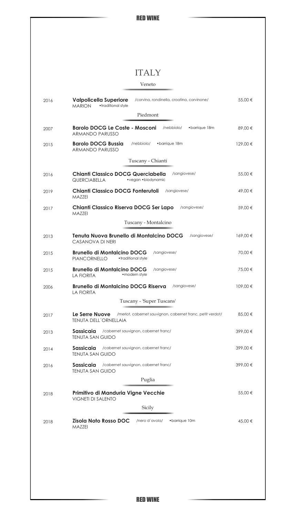# ITALY

Veneto

| 2016 | <b>Valpolicella Superiore</b><br>/corvina, rondinella, croatina, corvinone/<br>• traditional style<br><b>MARION</b> | 55,00 €  |
|------|---------------------------------------------------------------------------------------------------------------------|----------|
|      | Piedmont                                                                                                            |          |
| 2007 | <b>Barolo DOCG Le Coste - Mosconi</b><br>/nebbiolo/<br>•barrique 18m<br><b>ARMANDO PARUSSO</b>                      | 89,00 €  |
| 2015 | <b>Barolo DOCG Bussia</b><br>•barrique 18m<br>/nebbiolo/<br><b>ARMANDO PARUSSO</b>                                  | 129,00 € |
|      | Tuscany - Chianti                                                                                                   |          |
| 2016 | Chianti Classico DOCG Querciabella<br>/sangiovese/<br><b>QUERCIABELLA</b><br>• vegan • biodynamic                   | 55,00 €  |
| 2019 | Chianti Classico DOCG Fonterutoli<br>/sangiovese/<br>MAZZEI                                                         | 49,00 €  |
| 2017 | Chianti Classico Riserva DOCG Ser Lapo<br>/sangiovese/<br>MAZZEI                                                    | 59,00 €  |
|      | Tuscany - Montalcino                                                                                                |          |
| 2013 | Tenuta Nuova Brunello di Montalcino DOCG<br>/sangiovese/<br><b>CASANOVA DI NERI</b>                                 | 169,00€  |
| 2015 | <b>Brunello di Montalcino DOCG</b><br>/sangiovese/<br>• traditional style<br><b>PIANCORNELLO</b>                    | 70,00 €  |
| 2015 | <b>Brunello di Montalcino DOCG</b><br>/sangiovese/<br>• modern style<br><b>LA FIORITA</b>                           | 75,00 €  |
| 2006 | <b>Brunello di Montalcino DOCG Riserva</b><br>/sangiovese/<br><b>LA FIORITA</b>                                     | 109,00 € |
|      | Tuscany - 'Super Tuscans'                                                                                           |          |
| 2017 | Le Serre Nuove<br>/merlot, cabernet sauvignon, cabernet franc, petit verdot/<br>TENUTA DELL'ORNELLAIA               | 85,00 €  |
| 2013 | /cabernet sauvignon, cabernet franc/<br>Sassicaia<br><b>TENUTA SAN GUIDO</b>                                        | 399,00€  |
| 2014 | Sassicaia<br>/cabernet sauvignon, cabernet franc/<br><b>TENUTA SAN GUIDO</b>                                        | 399,00€  |
| 2016 | /cabernet sauvignon, cabernet franc/<br>Sassicaia<br><b>TENUTA SAN GUIDO</b>                                        | 399,00€  |
|      | Puglia                                                                                                              |          |
| 2018 | Primitivo di Manduria Vigne Vecchie<br><b>VIGNETI DI SALENTO</b>                                                    | 55,00 €  |
|      | Sicily                                                                                                              |          |
| 2018 | Zisola Noto Rosso DOC<br>/nero d'avola/<br>•barrique 10m<br>MAZZEI                                                  | 45,00 €  |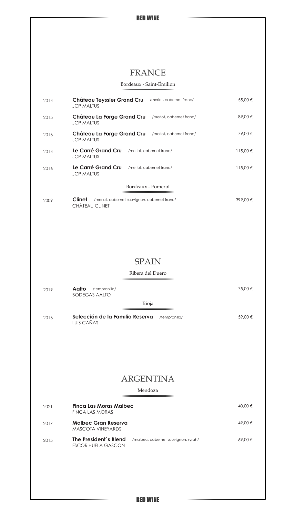# FRANCE

Bordeaux - Saint-Émilion

| 2014 | Château Teyssier Grand Cru<br>/merlot, cabernet franc/<br><b>JCP MALTUS</b>               | 55,00 €      |
|------|-------------------------------------------------------------------------------------------|--------------|
| 2015 | Château La Forge Grand Cru<br>/merlot, cabernet franc/<br><b>JCP MALTUS</b>               | 89,00€       |
| 2016 | Château La Forge Grand Cru<br>/merlot, cabernet franc/<br><b>JCP MALTUS</b>               | 79,00 €      |
| 2014 | Le Carré Grand Cru<br>/merlot, cabernet franc/<br><b>JCP MALTUS</b>                       | $115,00 \in$ |
| 2016 | Le Carré Grand Cru<br>/merlot, cabernet franc/<br><b>JCP MALTUS</b>                       | 115,00 €     |
|      | Bordeaux - Pomerol                                                                        |              |
| 2009 | Clinet<br>/merlot, cabernet sauvignon, cabernet franc/<br>CHÂTEAU CLINET                  | 399,00 €     |
|      |                                                                                           |              |
|      | <b>SPAIN</b>                                                                              |              |
|      | Ribera del Duero                                                                          |              |
|      |                                                                                           |              |
| 2019 | Aalto<br>/tempranillo/<br><b>BODEGAS AALTO</b>                                            | 75,00 €      |
|      | Rioja                                                                                     |              |
|      | Selección de la Familia Reserva<br>/tempranillo/                                          | 59,00 €      |
| 2016 | LUIS CAÑAS                                                                                |              |
|      | <b>ARGENTINA</b><br>Mendoza                                                               |              |
|      |                                                                                           |              |
| 2021 | <b>Finca Las Moras Malbec</b><br>FINCA LAS MORAS                                          | 40,00 €      |
| 2017 | <b>Malbec Gran Reserva</b><br>MASCOTA VINEYARDS                                           | 49,00 €      |
| 2015 | The President's Blend<br>/malbec, cabernet sauvignon, syrah/<br><b>ESCORIHUELA GASCON</b> | 69,00€       |
|      |                                                                                           |              |
|      |                                                                                           |              |

RED WINE